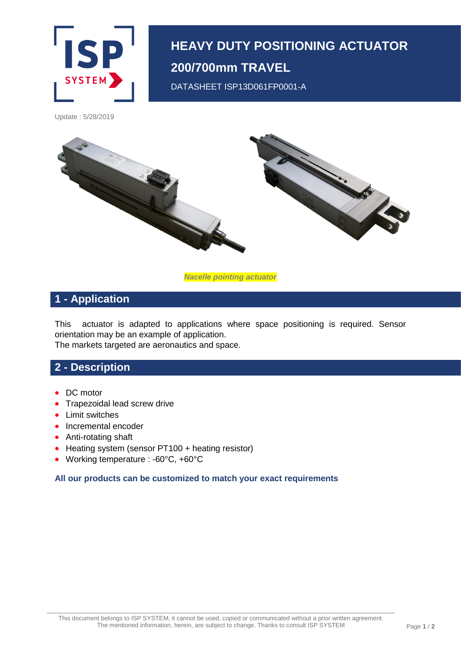

# **HEAVY DUTY POSITIONING ACTUATOR 200/700mm TRAVEL**

DATASHEET ISP13D061FP0001-A

Update : 5/28/2019



*Nacelle pointing actuator*

## **1 - Application**

This actuator is adapted to applications where space positioning is required. Sensor orientation may be an example of application. The markets targeted are aeronautics and space.

#### **2 - Description**

- DC motor
- Trapezoidal lead screw drive
- Limit switches
- Incremental encoder
- Anti-rotating shaft
- Heating system (sensor PT100 + heating resistor)
- Working temperature : -60°C, +60°C

**All our products can be customized to match your exact requirements**